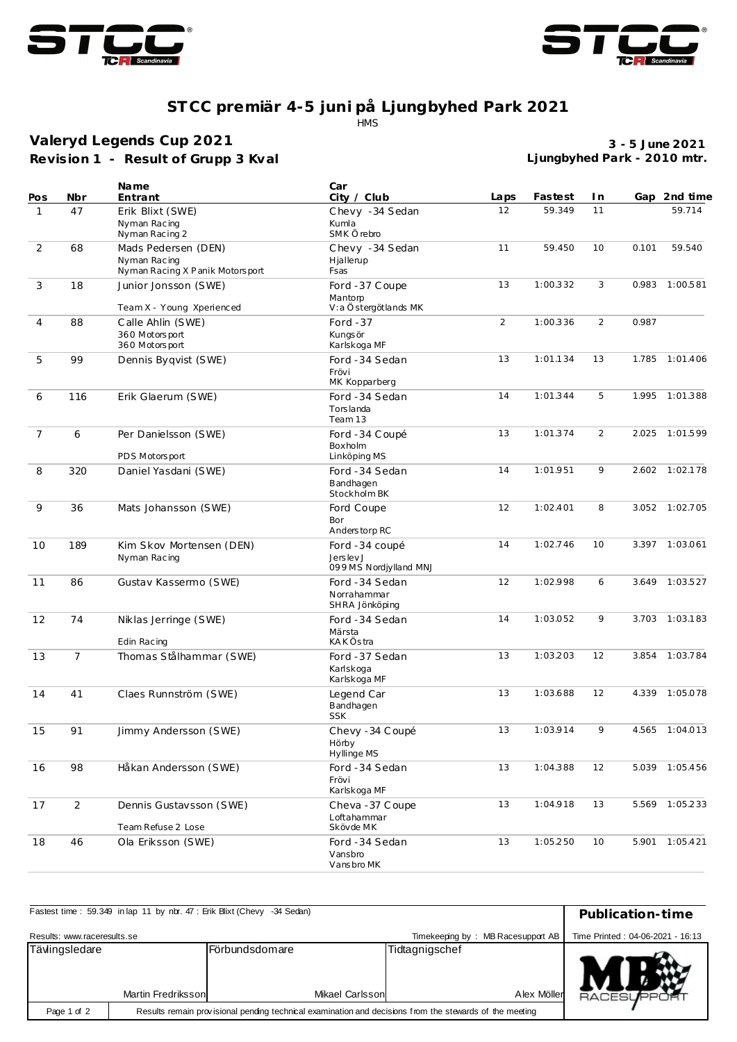



## **ST CC premiär 4-5 juni på Ljungbyhed Park 2021**

.<br>HMS

**Revision 1 - Result of Grupp 3 Kval Valeryd Legends Cup 2021**

**3 - 5 June 2021 Ljungbyhed Park - 2010 mtr.**

|                |                | <b>Name</b>                                                            | Car<br>City / Club                                      | Laps           | Fastest  | I n   |       | Gap 2nd time   |
|----------------|----------------|------------------------------------------------------------------------|---------------------------------------------------------|----------------|----------|-------|-------|----------------|
| Pos<br>1       | Nbr<br>47      | Entrant<br>Erik Blixt (SWE)                                            | Chevy -34 Sedan                                         | 12             | 59.349   | 11    |       | 59.714         |
|                |                | Nyman Racing<br>Nyman Racing 2                                         | Kumla<br>SMK Örebro                                     |                |          |       |       |                |
| 2              | 68             | Mads Pedersen (DEN)<br>Nyman Racing<br>Nyman Racing X Panik Motorsport | Chevy -34 Sedan<br>Hjallerup<br>Fsas                    | 11             | 59.450   | 10    | 0.101 | 59.540         |
| 3              | 18             | Junior Jonsson (SWE)<br>Team X - Young Xperienced                      | Ford -37 Coupe<br>Mantorp<br>V:a Östergötlands MK       | 13             | 1:00.332 | 3     | 0.983 | 1:00.581       |
| 4              | 88             | Calle Ahlin (SWE)<br>360 Motors port<br>360 Motors port                | 2<br>Ford $-37$<br>1:00.336<br>Kungs ör<br>Karlskoga MF |                | 2        | 0.987 |       |                |
| 5              | 99             | Dennis Byqvist (SWE)                                                   | Ford -34 Sedan<br>Frövi<br>MK Kopparberg                | 13<br>1:01.134 |          | 13    | 1.785 | 1:01.406       |
| 6              | 116            | Erik Glaerum (SWE)                                                     | Ford -34 Sedan<br>Tors landa<br>Team 13                 | 14<br>1:01.344 |          | 5     | 1.995 | 1:01.388       |
| $\overline{7}$ | 6              | Per Danielsson (SWE)<br>PDS Motorsport                                 | Ford -34 Coupé<br>Boxholm<br>Linköping MS               | 13             | 1:01.374 | 2     | 2.025 | 1:01.599       |
| 8              | 320            | Daniel Yasdani (SWE)                                                   | Ford -34 Sedan<br>Bandhagen<br>Stockholm BK             | 14             |          | 9     |       | 2.602 1:02.178 |
| 9              | 36             | Mats Johansson (SWE)                                                   | Ford Coupe<br>Bor<br>Anderstorp RC                      | 12             | 1:02.401 | 8     |       | 3.052 1:02.705 |
| 10             | 189            | Kim Skov Mortensen (DEN)<br>Nyman Racing                               | Ford -34 coupé<br>Jerslev J<br>099 MS Nordjylland MNJ   | 14             | 1:02.746 | 10    |       | 3.397 1:03.061 |
| 11             | 86             | Gustav Kassermo (SWE)                                                  | Ford -34 Sedan<br>Norrahammar<br>SHRA Jönköping         | 12             | 1:02.998 | 6     | 3.649 | 1:03.527       |
| 12             | 74             | Niklas Jerringe (SWE)<br>Edin Racing                                   | Ford -34 Sedan<br>Märsta<br><b>KAKÖstra</b>             | 14<br>1:03.052 |          | 9     | 3.703 | 1:03.183       |
| 13             | $\overline{7}$ | Thomas Stålhammar (SWE)                                                | Ford -37 Sedan<br>Karlskoga<br>Karlskoga MF             | 13             | 1:03.203 | 12    | 3.854 | 1:03.784       |
| 14             | 41             | Claes Runnström (SWE)                                                  | Legend Car<br>Bandhagen<br><b>SSK</b>                   | 13             | 1:03.688 | 12    |       | 4.339 1:05.078 |
| 15             | 91             | Jimmy Andersson (SWE)                                                  | Chevy - 34 Coupé<br>Hörby<br>Hyllinge MS                | 13             | 1:03.914 | 9     |       | 4.565 1:04.013 |
| 16             | 98             | Håkan Andersson (SWE)                                                  | Ford -34 Sedan<br>Frövi<br>Karlskoga MF                 | 13             | 1:04.388 | 12    |       | 5.039 1:05.456 |
| 17             | $\overline{2}$ | Dennis Gustavsson (SWE)<br>Team Refuse 2 Lose                          | Cheva - 37 Coupe<br>Loftahammar<br>Skövde MK            | 13             | 1:04.918 | 13    |       | 5.569 1:05.233 |
| 18             | 46             | Ola Eriksson (SWE)                                                     | Ford -34 Sedan<br>Vansbro<br>Vansbro MK                 | 13             | 1:05.250 | 10    |       | 5.901 1:05.421 |

| Fastest time: 59.349 in lap 11 by nbr. 47: Erik Blixt (Chevy -34 Sedan)                                                | Publication-time                                                      |                                   |                               |                 |
|------------------------------------------------------------------------------------------------------------------------|-----------------------------------------------------------------------|-----------------------------------|-------------------------------|-----------------|
| Results: www.raceresults.se                                                                                            | Time Printed: 04-06-2021 - 16:13<br>Timekeeping by: MB Racesupport AB |                                   |                               |                 |
| Tävlingsledare<br>Martin Fredriksson                                                                                   |                                                                       | Förbundsdomare<br>Mikael Carlsson | Tidtagnigschef<br>Alex Möller |                 |
| Results remain provisional pending technical examination and decisions from the stewards of the meeting<br>Page 1 of 2 |                                                                       |                                   |                               | <b>RACESUPP</b> |